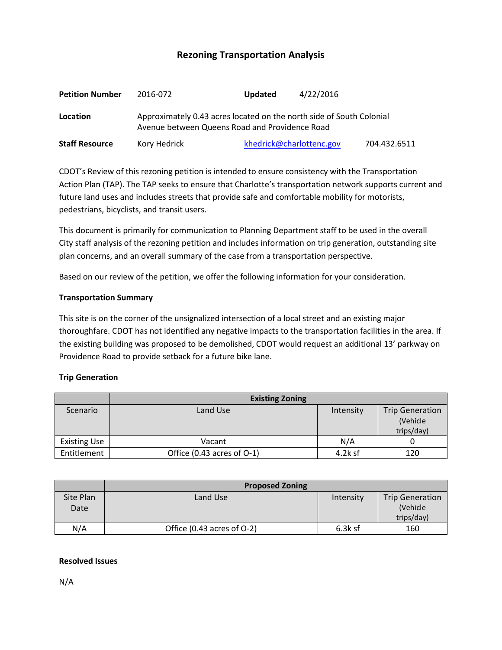# **Rezoning Transportation Analysis**

| <b>Petition Number</b> | 2016-072                                                                                                               | <b>Updated</b> | 4/22/2016                |              |  |  |
|------------------------|------------------------------------------------------------------------------------------------------------------------|----------------|--------------------------|--------------|--|--|
| Location               | Approximately 0.43 acres located on the north side of South Colonial<br>Avenue between Queens Road and Providence Road |                |                          |              |  |  |
| <b>Staff Resource</b>  | Kory Hedrick                                                                                                           |                | khedrick@charlottenc.gov | 704.432.6511 |  |  |

CDOT's Review of this rezoning petition is intended to ensure consistency with the Transportation Action Plan (TAP). The TAP seeks to ensure that Charlotte's transportation network supports current and future land uses and includes streets that provide safe and comfortable mobility for motorists, pedestrians, bicyclists, and transit users.

This document is primarily for communication to Planning Department staff to be used in the overall City staff analysis of the rezoning petition and includes information on trip generation, outstanding site plan concerns, and an overall summary of the case from a transportation perspective.

Based on our review of the petition, we offer the following information for your consideration.

#### **Transportation Summary**

This site is on the corner of the unsignalized intersection of a local street and an existing major thoroughfare. CDOT has not identified any negative impacts to the transportation facilities in the area. If the existing building was proposed to be demolished, CDOT would request an additional 13' parkway on Providence Road to provide setback for a future bike lane.

### **Trip Generation**

|                     | <b>Existing Zoning</b>          |           |                        |  |
|---------------------|---------------------------------|-----------|------------------------|--|
| Scenario            | Land Use                        | Intensity | <b>Trip Generation</b> |  |
|                     |                                 |           | (Vehicle)              |  |
|                     |                                 |           | trips/day)             |  |
| <b>Existing Use</b> | Vacant                          | N/A       |                        |  |
| Entitlement         | Office $(0.43$ acres of $O-1$ ) | $4.2k$ sf | 120                    |  |

|                   | <b>Proposed Zoning</b>         |           |                                                  |  |
|-------------------|--------------------------------|-----------|--------------------------------------------------|--|
| Site Plan<br>Date | Land Use                       | Intensity | <b>Trip Generation</b><br>(Vehicle<br>trips/day) |  |
| N/A               | Office $(0.43$ acres of $O-2)$ | $6.3k$ sf | 160                                              |  |

#### **Resolved Issues**

N/A